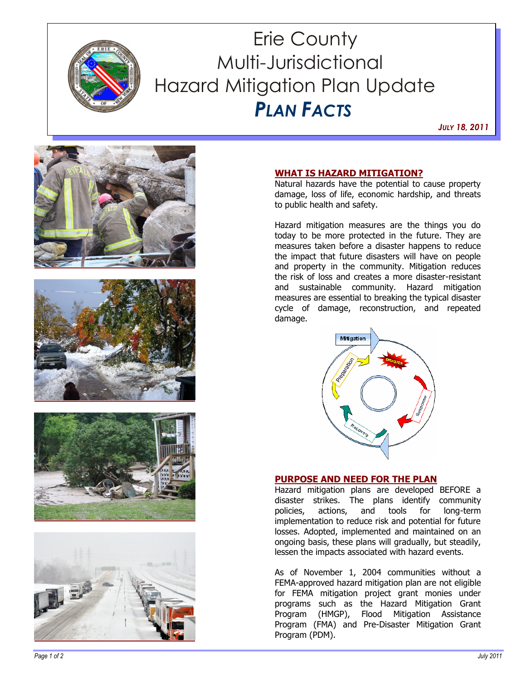

# Erie County Multi-Jurisdictional Hazard Mitigation Plan Update  *PLAN FACTS*

*JULY 18, 2011*









## **WHAT IS HAZARD MITIGATION?**

Natural hazards have the potential to cause property damage, loss of life, economic hardship, and threats to public health and safety.

Hazard mitigation measures are the things you do today to be more protected in the future. They are measures taken before a disaster happens to reduce the impact that future disasters will have on people and property in the community. Mitigation reduces the risk of loss and creates a more disaster-resistant and sustainable community. Hazard mitigation measures are essential to breaking the typical disaster cycle of damage, reconstruction, and repeated damage.



## **PURPOSE AND NEED FOR THE PLAN**

Hazard mitigation plans are developed BEFORE a disaster strikes. The plans identify community policies, actions, and tools for long-term implementation to reduce risk and potential for future losses. Adopted, implemented and maintained on an ongoing basis, these plans will gradually, but steadily, lessen the impacts associated with hazard events.

As of November 1, 2004 communities without a FEMA-approved hazard mitigation plan are not eligible for FEMA mitigation project grant monies under programs such as the Hazard Mitigation Grant Program (HMGP), Flood Mitigation Assistance Program (FMA) and Pre-Disaster Mitigation Grant Program (PDM).